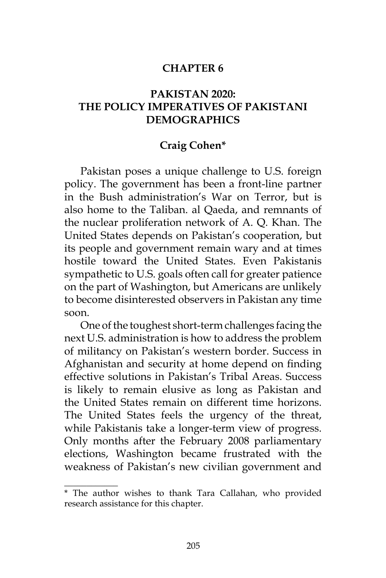#### **CHAPTER 6**

## **PAKISTAN 2020: THE POLICY IMPERATIVES OF PAKISTANI DEMOGRAPHICS**

## **Craig Cohen\***

Pakistan poses a unique challenge to U.S. foreign policy. The government has been a front-line partner in the Bush administration's War on Terror, but is also home to the Taliban. al Qaeda, and remnants of the nuclear proliferation network of A. Q. Khan. The United States depends on Pakistan's cooperation, but its people and government remain wary and at times hostile toward the United States. Even Pakistanis sympathetic to U.S. goals often call for greater patience on the part of Washington, but Americans are unlikely to become disinterested observers in Pakistan any time soon.

One of the toughest short-term challenges facing the next U.S. administration is how to address the problem of militancy on Pakistan's western border. Success in Afghanistan and security at home depend on finding effective solutions in Pakistan's Tribal Areas. Success is likely to remain elusive as long as Pakistan and the United States remain on different time horizons. The United States feels the urgency of the threat, while Pakistanis take a longer-term view of progress. Only months after the February 2008 parliamentary elections, Washington became frustrated with the weakness of Pakistan's new civilian government and

\_\_\_\_\_\_\_\_\_\_\_\_

<sup>\*</sup> The author wishes to thank Tara Callahan, who provided research assistance for this chapter.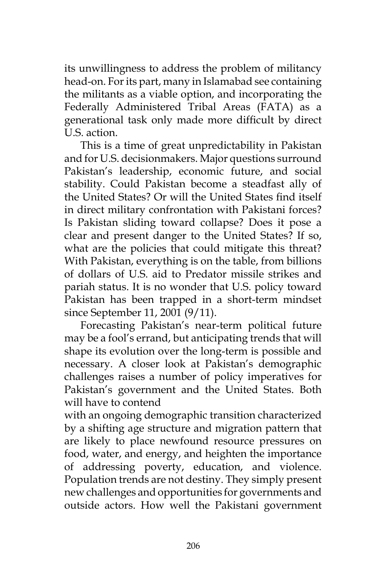its unwillingness to address the problem of militancy head-on. For its part, many in Islamabad see containing the militants as a viable option, and incorporating the Federally Administered Tribal Areas (FATA) as a generational task only made more difficult by direct U.S. action.

This is a time of great unpredictability in Pakistan and for U.S. decisionmakers. Major questions surround Pakistan's leadership, economic future, and social stability. Could Pakistan become a steadfast ally of the United States? Or will the United States find itself in direct military confrontation with Pakistani forces? Is Pakistan sliding toward collapse? Does it pose a clear and present danger to the United States? If so, what are the policies that could mitigate this threat? With Pakistan, everything is on the table, from billions of dollars of U.S. aid to Predator missile strikes and pariah status. It is no wonder that U.S. policy toward Pakistan has been trapped in a short-term mindset since September 11, 2001 (9/11).

Forecasting Pakistan's near-term political future may be a fool's errand, but anticipating trends that will shape its evolution over the long-term is possible and necessary. A closer look at Pakistan's demographic challenges raises a number of policy imperatives for Pakistan's government and the United States. Both will have to contend

with an ongoing demographic transition characterized by a shifting age structure and migration pattern that are likely to place newfound resource pressures on food, water, and energy, and heighten the importance of addressing poverty, education, and violence. Population trends are not destiny. They simply present new challenges and opportunities for governments and outside actors. How well the Pakistani government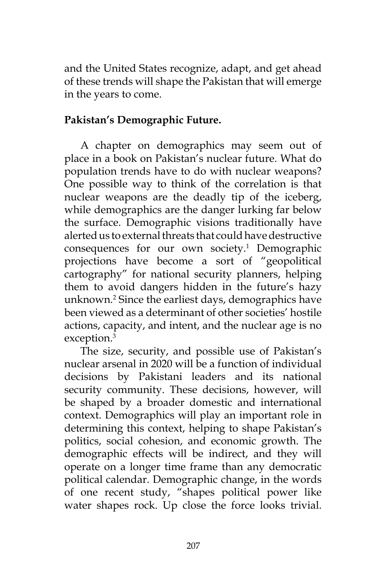and the United States recognize, adapt, and get ahead of these trends will shape the Pakistan that will emerge in the years to come.

# **Pakistan's Demographic Future.**

A chapter on demographics may seem out of place in a book on Pakistan's nuclear future. What do population trends have to do with nuclear weapons? One possible way to think of the correlation is that nuclear weapons are the deadly tip of the iceberg, while demographics are the danger lurking far below the surface. Demographic visions traditionally have alerted us to external threats that could have destructive consequences for our own society.<sup>1</sup> Demographic projections have become a sort of "geopolitical cartography" for national security planners, helping them to avoid dangers hidden in the future's hazy unknown.2 Since the earliest days, demographics have been viewed as a determinant of other societies' hostile actions, capacity, and intent, and the nuclear age is no exception.3

The size, security, and possible use of Pakistan's nuclear arsenal in 2020 will be a function of individual decisions by Pakistani leaders and its national security community. These decisions, however, will be shaped by a broader domestic and international context. Demographics will play an important role in determining this context, helping to shape Pakistan's politics, social cohesion, and economic growth. The demographic effects will be indirect, and they will operate on a longer time frame than any democratic political calendar. Demographic change, in the words of one recent study, "shapes political power like water shapes rock. Up close the force looks trivial.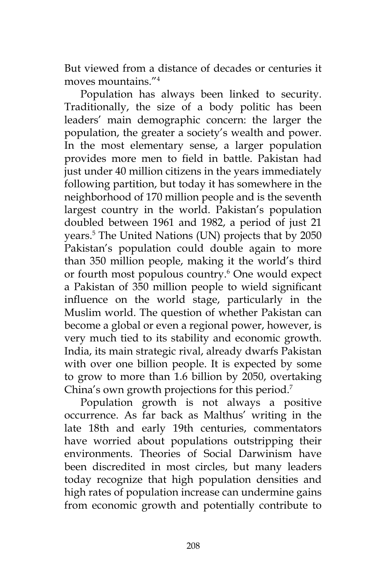But viewed from a distance of decades or centuries it moves mountains."4

Population has always been linked to security. Traditionally, the size of a body politic has been leaders' main demographic concern: the larger the population, the greater a society's wealth and power. In the most elementary sense, a larger population provides more men to field in battle. Pakistan had just under 40 million citizens in the years immediately following partition, but today it has somewhere in the neighborhood of 170 million people and is the seventh largest country in the world. Pakistan's population doubled between 1961 and 1982, a period of just 21 years.5 The United Nations (UN) projects that by 2050 Pakistan's population could double again to more than 350 million people, making it the world's third or fourth most populous country.<sup>6</sup> One would expect a Pakistan of 350 million people to wield significant influence on the world stage, particularly in the Muslim world. The question of whether Pakistan can become a global or even a regional power, however, is very much tied to its stability and economic growth. India, its main strategic rival, already dwarfs Pakistan with over one billion people. It is expected by some to grow to more than 1.6 billion by 2050, overtaking China's own growth projections for this period.7

Population growth is not always a positive occurrence. As far back as Malthus' writing in the late 18th and early 19th centuries, commentators have worried about populations outstripping their environments. Theories of Social Darwinism have been discredited in most circles, but many leaders today recognize that high population densities and high rates of population increase can undermine gains from economic growth and potentially contribute to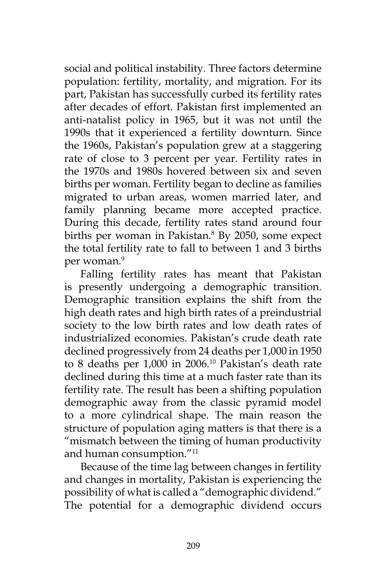social and political instability. Three factors determine population: fertility, mortality, and migration. For its part, Pakistan has successfully curbed its fertility rates after decades of effort. Pakistan first implemented an anti-natalist policy in 1965, but it was not until the 1990s that it experienced a fertility downturn. Since the 1960s, Pakistan's population grew at a staggering rate of close to 3 percent per year. Fertility rates in the 1970s and 1980s hovered between six and seven births per woman. Fertility began to decline as families migrated to urban areas, women married later, and family planning became more accepted practice. During this decade, fertility rates stand around four births per woman in Pakistan.<sup>8</sup> By 2050, some expect the total fertility rate to fall to between 1 and 3 births per woman.<sup>9</sup>

Falling fertility rates has meant that Pakistan is presently undergoing a demographic transition. Demographic transition explains the shift from the high death rates and high birth rates of a preindustrial society to the low birth rates and low death rates of industrialized economies. Pakistan's crude death rate declined progressively from 24 deaths per 1,000 in 1950 to 8 deaths per 1,000 in 2006.10 Pakistan's death rate declined during this time at a much faster rate than its fertility rate. The result has been a shifting population demographic away from the classic pyramid model to a more cylindrical shape. The main reason the structure of population aging matters is that there is a "mismatch between the timing of human productivity and human consumption."11

Because of the time lag between changes in fertility and changes in mortality, Pakistan is experiencing the possibility of what is called a "demographic dividend." The potential for a demographic dividend occurs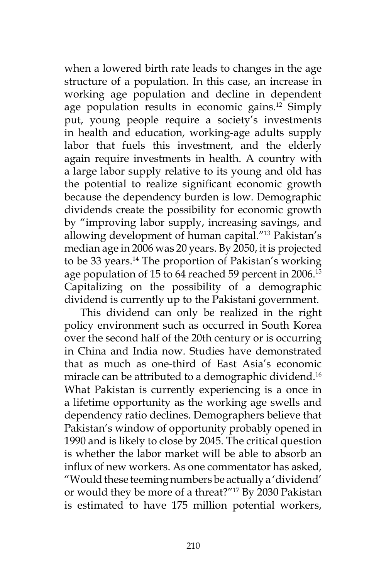when a lowered birth rate leads to changes in the age structure of a population. In this case, an increase in working age population and decline in dependent age population results in economic gains.12 Simply put, young people require a society's investments in health and education, working-age adults supply labor that fuels this investment, and the elderly again require investments in health. A country with a large labor supply relative to its young and old has the potential to realize significant economic growth because the dependency burden is low. Demographic dividends create the possibility for economic growth by "improving labor supply, increasing savings, and allowing development of human capital."13 Pakistan's median age in 2006 was 20 years. By 2050, it is projected to be 33 years.<sup>14</sup> The proportion of Pakistan's working age population of 15 to 64 reached 59 percent in 2006.<sup>15</sup> Capitalizing on the possibility of a demographic dividend is currently up to the Pakistani government.

This dividend can only be realized in the right policy environment such as occurred in South Korea over the second half of the 20th century or is occurring in China and India now. Studies have demonstrated that as much as one-third of East Asia's economic miracle can be attributed to a demographic dividend.<sup>16</sup> What Pakistan is currently experiencing is a once in a lifetime opportunity as the working age swells and dependency ratio declines. Demographers believe that Pakistan's window of opportunity probably opened in 1990 and is likely to close by 2045. The critical question is whether the labor market will be able to absorb an influx of new workers. As one commentator has asked, "Would these teeming numbers be actually a 'dividend' or would they be more of a threat?"17 By 2030 Pakistan is estimated to have 175 million potential workers,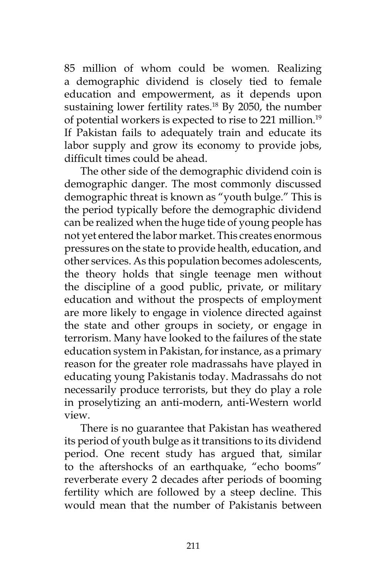85 million of whom could be women. Realizing a demographic dividend is closely tied to female education and empowerment, as it depends upon sustaining lower fertility rates.<sup>18</sup> By 2050, the number of potential workers is expected to rise to 221 million.19 If Pakistan fails to adequately train and educate its labor supply and grow its economy to provide jobs, difficult times could be ahead.

The other side of the demographic dividend coin is demographic danger. The most commonly discussed demographic threat is known as "youth bulge." This is the period typically before the demographic dividend can be realized when the huge tide of young people has not yet entered the labor market. This creates enormous pressures on the state to provide health, education, and other services. As this population becomes adolescents, the theory holds that single teenage men without the discipline of a good public, private, or military education and without the prospects of employment are more likely to engage in violence directed against the state and other groups in society, or engage in terrorism. Many have looked to the failures of the state education system in Pakistan, for instance, as a primary reason for the greater role madrassahs have played in educating young Pakistanis today. Madrassahs do not necessarily produce terrorists, but they do play a role in proselytizing an anti-modern, anti-Western world view.

There is no guarantee that Pakistan has weathered its period of youth bulge as it transitions to its dividend period. One recent study has argued that, similar to the aftershocks of an earthquake, "echo booms" reverberate every 2 decades after periods of booming fertility which are followed by a steep decline. This would mean that the number of Pakistanis between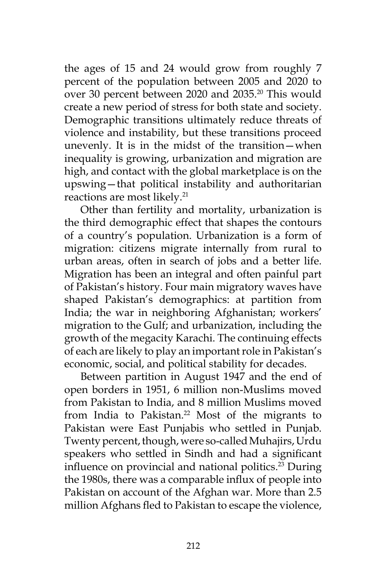the ages of 15 and 24 would grow from roughly 7 percent of the population between 2005 and 2020 to over 30 percent between 2020 and 2035.<sup>20</sup> This would create a new period of stress for both state and society. Demographic transitions ultimately reduce threats of violence and instability, but these transitions proceed unevenly. It is in the midst of the transition—when inequality is growing, urbanization and migration are high, and contact with the global marketplace is on the upswing—that political instability and authoritarian reactions are most likely.21

Other than fertility and mortality, urbanization is the third demographic effect that shapes the contours of a country's population. Urbanization is a form of migration: citizens migrate internally from rural to urban areas, often in search of jobs and a better life. Migration has been an integral and often painful part of Pakistan's history. Four main migratory waves have shaped Pakistan's demographics: at partition from India; the war in neighboring Afghanistan; workers' migration to the Gulf; and urbanization, including the growth of the megacity Karachi. The continuing effects of each are likely to play an important role in Pakistan's economic, social, and political stability for decades.

Between partition in August 1947 and the end of open borders in 1951, 6 million non-Muslims moved from Pakistan to India, and 8 million Muslims moved from India to Pakistan.<sup>22</sup> Most of the migrants to Pakistan were East Punjabis who settled in Punjab. Twenty percent, though, were so-called Muhajirs, Urdu speakers who settled in Sindh and had a significant influence on provincial and national politics.<sup>23</sup> During the 1980s, there was a comparable influx of people into Pakistan on account of the Afghan war. More than 2.5 million Afghans fled to Pakistan to escape the violence,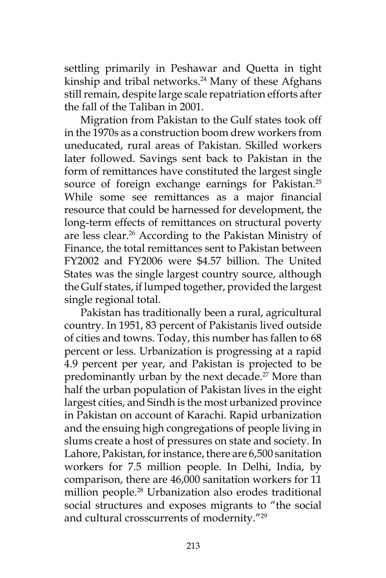settling primarily in Peshawar and Quetta in tight kinship and tribal networks.<sup>24</sup> Many of these Afghans still remain, despite large scale repatriation efforts after the fall of the Taliban in 2001.

Migration from Pakistan to the Gulf states took off in the 1970s as a construction boom drew workers from uneducated, rural areas of Pakistan. Skilled workers later followed. Savings sent back to Pakistan in the form of remittances have constituted the largest single source of foreign exchange earnings for Pakistan.<sup>25</sup> While some see remittances as a major financial resource that could be harnessed for development, the long-term effects of remittances on structural poverty are less clear.<sup>26</sup> According to the Pakistan Ministry of Finance, the total remittances sent to Pakistan between FY2002 and FY2006 were \$4.57 billion. The United States was the single largest country source, although the Gulf states, if lumped together, provided the largest single regional total.

Pakistan has traditionally been a rural, agricultural country. In 1951, 83 percent of Pakistanis lived outside of cities and towns. Today, this number has fallen to 68 percent or less. Urbanization is progressing at a rapid 4.9 percent per year, and Pakistan is projected to be predominantly urban by the next decade.<sup>27</sup> More than half the urban population of Pakistan lives in the eight largest cities, and Sindh is the most urbanized province in Pakistan on account of Karachi. Rapid urbanization and the ensuing high congregations of people living in slums create a host of pressures on state and society. In Lahore, Pakistan, for instance, there are 6,500 sanitation workers for 7.5 million people. In Delhi, India, by comparison, there are 46,000 sanitation workers for 11 million people.28 Urbanization also erodes traditional social structures and exposes migrants to "the social and cultural crosscurrents of modernity."29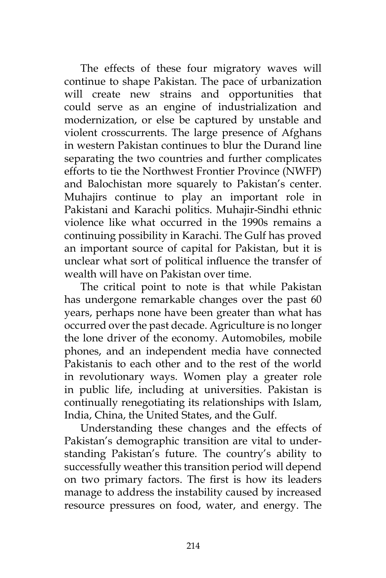The effects of these four migratory waves will continue to shape Pakistan. The pace of urbanization will create new strains and opportunities that could serve as an engine of industrialization and modernization, or else be captured by unstable and violent crosscurrents. The large presence of Afghans in western Pakistan continues to blur the Durand line separating the two countries and further complicates efforts to tie the Northwest Frontier Province (NWFP) and Balochistan more squarely to Pakistan's center. Muhajirs continue to play an important role in Pakistani and Karachi politics. Muhajir-Sindhi ethnic violence like what occurred in the 1990s remains a continuing possibility in Karachi. The Gulf has proved an important source of capital for Pakistan, but it is unclear what sort of political influence the transfer of wealth will have on Pakistan over time.

The critical point to note is that while Pakistan has undergone remarkable changes over the past 60 years, perhaps none have been greater than what has occurred over the past decade. Agriculture is no longer the lone driver of the economy. Automobiles, mobile phones, and an independent media have connected Pakistanis to each other and to the rest of the world in revolutionary ways. Women play a greater role in public life, including at universities. Pakistan is continually renegotiating its relationships with Islam, India, China, the United States, and the Gulf.

Understanding these changes and the effects of Pakistan's demographic transition are vital to understanding Pakistan's future. The country's ability to successfully weather this transition period will depend on two primary factors. The first is how its leaders manage to address the instability caused by increased resource pressures on food, water, and energy. The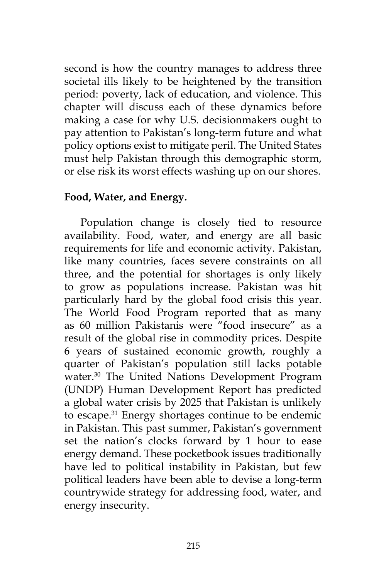second is how the country manages to address three societal ills likely to be heightened by the transition period: poverty, lack of education, and violence. This chapter will discuss each of these dynamics before making a case for why U.S. decisionmakers ought to pay attention to Pakistan's long-term future and what policy options exist to mitigate peril. The United States must help Pakistan through this demographic storm, or else risk its worst effects washing up on our shores.

## **Food, Water, and Energy.**

Population change is closely tied to resource availability. Food, water, and energy are all basic requirements for life and economic activity. Pakistan, like many countries, faces severe constraints on all three, and the potential for shortages is only likely to grow as populations increase. Pakistan was hit particularly hard by the global food crisis this year. The World Food Program reported that as many as 60 million Pakistanis were "food insecure" as a result of the global rise in commodity prices. Despite 6 years of sustained economic growth, roughly a quarter of Pakistan's population still lacks potable water.30 The United Nations Development Program (UNDP) Human Development Report has predicted a global water crisis by 2025 that Pakistan is unlikely to escape.31 Energy shortages continue to be endemic in Pakistan. This past summer, Pakistan's government set the nation's clocks forward by 1 hour to ease energy demand. These pocketbook issues traditionally have led to political instability in Pakistan, but few political leaders have been able to devise a long-term countrywide strategy for addressing food, water, and energy insecurity.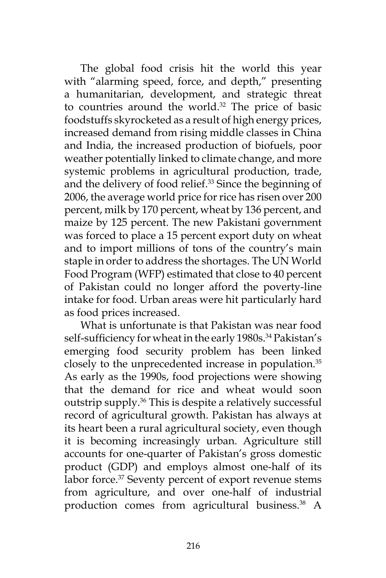The global food crisis hit the world this year with "alarming speed, force, and depth," presenting a humanitarian, development, and strategic threat to countries around the world.<sup>32</sup> The price of basic foodstuffs skyrocketed as a result of high energy prices, increased demand from rising middle classes in China and India, the increased production of biofuels, poor weather potentially linked to climate change, and more systemic problems in agricultural production, trade, and the delivery of food relief.<sup>33</sup> Since the beginning of 2006, the average world price for rice has risen over 200 percent, milk by 170 percent, wheat by 136 percent, and maize by 125 percent. The new Pakistani government was forced to place a 15 percent export duty on wheat and to import millions of tons of the country's main staple in order to address the shortages. The UN World Food Program (WFP) estimated that close to 40 percent of Pakistan could no longer afford the poverty-line intake for food. Urban areas were hit particularly hard as food prices increased.

What is unfortunate is that Pakistan was near food self-sufficiency for wheat in the early 1980s.<sup>34</sup> Pakistan's emerging food security problem has been linked closely to the unprecedented increase in population.<sup>35</sup> As early as the 1990s, food projections were showing that the demand for rice and wheat would soon outstrip supply.36 This is despite a relatively successful record of agricultural growth. Pakistan has always at its heart been a rural agricultural society, even though it is becoming increasingly urban. Agriculture still accounts for one-quarter of Pakistan's gross domestic product (GDP) and employs almost one-half of its labor force.<sup>37</sup> Seventy percent of export revenue stems from agriculture, and over one-half of industrial production comes from agricultural business.<sup>38</sup> A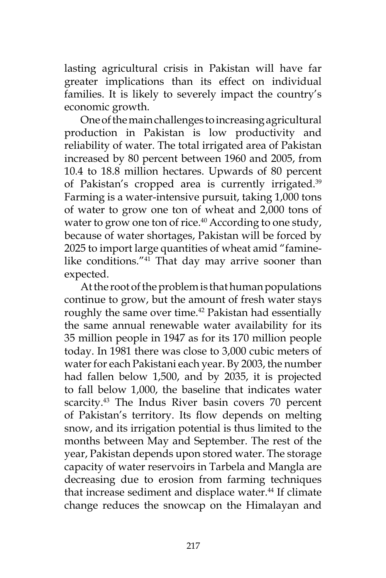lasting agricultural crisis in Pakistan will have far greater implications than its effect on individual families. It is likely to severely impact the country's economic growth.

One of the main challenges to increasing agricultural production in Pakistan is low productivity and reliability of water. The total irrigated area of Pakistan increased by 80 percent between 1960 and 2005, from 10.4 to 18.8 million hectares. Upwards of 80 percent of Pakistan's cropped area is currently irrigated.<sup>39</sup> Farming is a water-intensive pursuit, taking 1,000 tons of water to grow one ton of wheat and 2,000 tons of water to grow one ton of rice.<sup>40</sup> According to one study, because of water shortages, Pakistan will be forced by 2025 to import large quantities of wheat amid "faminelike conditions."41 That day may arrive sooner than expected.

At the root of the problem is that human populations continue to grow, but the amount of fresh water stays roughly the same over time.<sup>42</sup> Pakistan had essentially the same annual renewable water availability for its 35 million people in 1947 as for its 170 million people today. In 1981 there was close to 3,000 cubic meters of water for each Pakistani each year. By 2003, the number had fallen below 1,500, and by 2035, it is projected to fall below 1,000, the baseline that indicates water scarcity.<sup>43</sup> The Indus River basin covers 70 percent of Pakistan's territory. Its flow depends on melting snow, and its irrigation potential is thus limited to the months between May and September. The rest of the year, Pakistan depends upon stored water. The storage capacity of water reservoirs in Tarbela and Mangla are decreasing due to erosion from farming techniques that increase sediment and displace water.<sup>44</sup> If climate change reduces the snowcap on the Himalayan and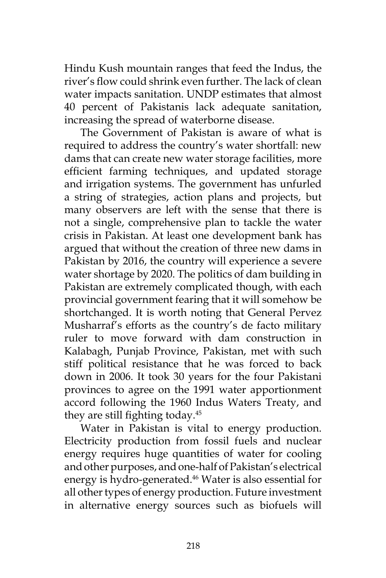Hindu Kush mountain ranges that feed the Indus, the river's flow could shrink even further. The lack of clean water impacts sanitation. UNDP estimates that almost 40 percent of Pakistanis lack adequate sanitation, increasing the spread of waterborne disease.

The Government of Pakistan is aware of what is required to address the country's water shortfall: new dams that can create new water storage facilities, more efficient farming techniques, and updated storage and irrigation systems. The government has unfurled a string of strategies, action plans and projects, but many observers are left with the sense that there is not a single, comprehensive plan to tackle the water crisis in Pakistan. At least one development bank has argued that without the creation of three new dams in Pakistan by 2016, the country will experience a severe water shortage by 2020. The politics of dam building in Pakistan are extremely complicated though, with each provincial government fearing that it will somehow be shortchanged. It is worth noting that General Pervez Musharraf's efforts as the country's de facto military ruler to move forward with dam construction in Kalabagh, Punjab Province, Pakistan, met with such stiff political resistance that he was forced to back down in 2006. It took 30 years for the four Pakistani provinces to agree on the 1991 water apportionment accord following the 1960 Indus Waters Treaty, and they are still fighting today.45

Water in Pakistan is vital to energy production. Electricity production from fossil fuels and nuclear energy requires huge quantities of water for cooling and other purposes, and one-half of Pakistan's electrical energy is hydro-generated.<sup>46</sup> Water is also essential for all other types of energy production. Future investment in alternative energy sources such as biofuels will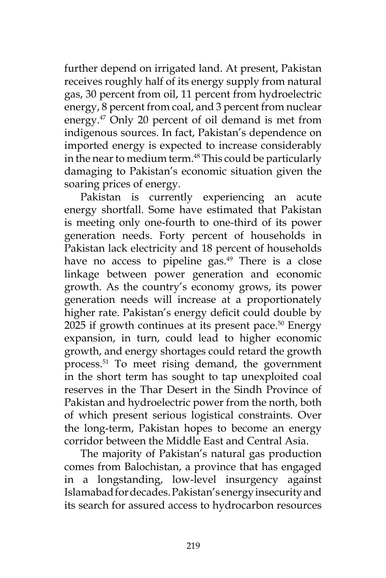further depend on irrigated land. At present, Pakistan receives roughly half of its energy supply from natural gas, 30 percent from oil, 11 percent from hydroelectric energy, 8 percent from coal, and 3 percent from nuclear energy.47 Only 20 percent of oil demand is met from indigenous sources. In fact, Pakistan's dependence on imported energy is expected to increase considerably in the near to medium term.<sup>48</sup> This could be particularly damaging to Pakistan's economic situation given the soaring prices of energy.

Pakistan is currently experiencing an acute energy shortfall. Some have estimated that Pakistan is meeting only one-fourth to one-third of its power generation needs. Forty percent of households in Pakistan lack electricity and 18 percent of households have no access to pipeline gas.<sup>49</sup> There is a close linkage between power generation and economic growth. As the country's economy grows, its power generation needs will increase at a proportionately higher rate. Pakistan's energy deficit could double by  $2025$  if growth continues at its present pace.<sup>50</sup> Energy expansion, in turn, could lead to higher economic growth, and energy shortages could retard the growth process.51 To meet rising demand, the government in the short term has sought to tap unexploited coal reserves in the Thar Desert in the Sindh Province of Pakistan and hydroelectric power from the north, both of which present serious logistical constraints. Over the long-term, Pakistan hopes to become an energy corridor between the Middle East and Central Asia.

The majority of Pakistan's natural gas production comes from Balochistan, a province that has engaged in a longstanding, low-level insurgency against Islamabad for decades. Pakistan's energy insecurity and its search for assured access to hydrocarbon resources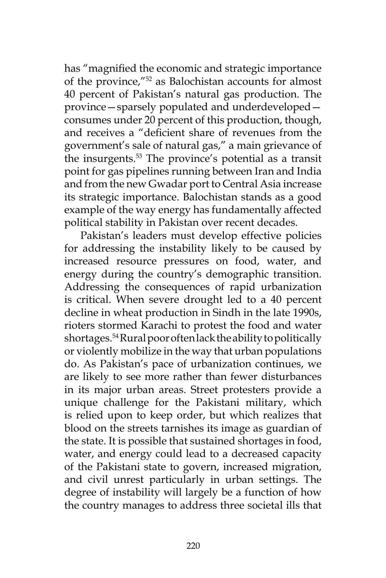has "magnified the economic and strategic importance of the province,"52 as Balochistan accounts for almost 40 percent of Pakistan's natural gas production. The province—sparsely populated and underdeveloped consumes under 20 percent of this production, though, and receives a "deficient share of revenues from the government's sale of natural gas," a main grievance of the insurgents.53 The province's potential as a transit point for gas pipelines running between Iran and India and from the new Gwadar port to Central Asia increase its strategic importance. Balochistan stands as a good example of the way energy has fundamentally affected political stability in Pakistan over recent decades.

Pakistan's leaders must develop effective policies for addressing the instability likely to be caused by increased resource pressures on food, water, and energy during the country's demographic transition. Addressing the consequences of rapid urbanization is critical. When severe drought led to a 40 percent decline in wheat production in Sindh in the late 1990s, rioters stormed Karachi to protest the food and water shortages.54 Rural poor often lack the ability to politically or violently mobilize in the way that urban populations do. As Pakistan's pace of urbanization continues, we are likely to see more rather than fewer disturbances in its major urban areas. Street protesters provide a unique challenge for the Pakistani military, which is relied upon to keep order, but which realizes that blood on the streets tarnishes its image as guardian of the state. It is possible that sustained shortages in food, water, and energy could lead to a decreased capacity of the Pakistani state to govern, increased migration, and civil unrest particularly in urban settings. The degree of instability will largely be a function of how the country manages to address three societal ills that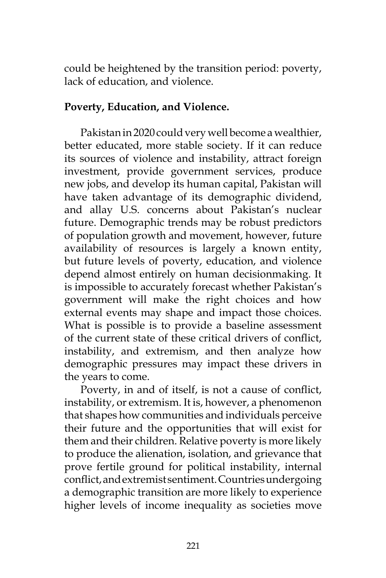could be heightened by the transition period: poverty, lack of education, and violence.

## **Poverty, Education, and Violence.**

Pakistan in 2020 could very well become a wealthier, better educated, more stable society. If it can reduce its sources of violence and instability, attract foreign investment, provide government services, produce new jobs, and develop its human capital, Pakistan will have taken advantage of its demographic dividend, and allay U.S. concerns about Pakistan's nuclear future. Demographic trends may be robust predictors of population growth and movement, however, future availability of resources is largely a known entity, but future levels of poverty, education, and violence depend almost entirely on human decisionmaking. It is impossible to accurately forecast whether Pakistan's government will make the right choices and how external events may shape and impact those choices. What is possible is to provide a baseline assessment of the current state of these critical drivers of conflict, instability, and extremism, and then analyze how demographic pressures may impact these drivers in the years to come.

Poverty, in and of itself, is not a cause of conflict, instability, or extremism. It is, however, a phenomenon that shapes how communities and individuals perceive their future and the opportunities that will exist for them and their children. Relative poverty is more likely to produce the alienation, isolation, and grievance that prove fertile ground for political instability, internal conflict, and extremist sentiment. Countries undergoing a demographic transition are more likely to experience higher levels of income inequality as societies move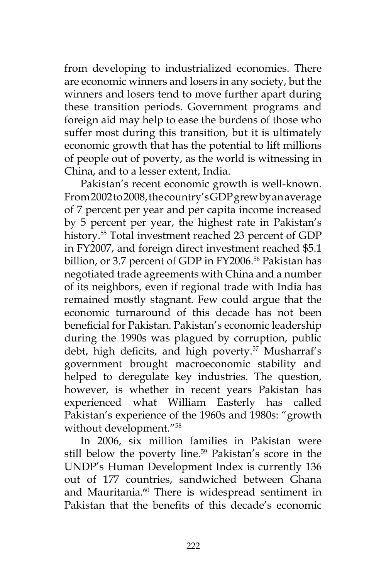from developing to industrialized economies. There are economic winners and losers in any society, but the winners and losers tend to move further apart during these transition periods. Government programs and foreign aid may help to ease the burdens of those who suffer most during this transition, but it is ultimately economic growth that has the potential to lift millions of people out of poverty, as the world is witnessing in China, and to a lesser extent, India.

Pakistan's recent economic growth is well-known. From 2002 to 2008, the country's GDP grew by an average of 7 percent per year and per capita income increased by 5 percent per year, the highest rate in Pakistan's history.<sup>55</sup> Total investment reached 23 percent of GDP in FY2007, and foreign direct investment reached \$5.1 billion, or 3.7 percent of GDP in FY2006.<sup>56</sup> Pakistan has negotiated trade agreements with China and a number of its neighbors, even if regional trade with India has remained mostly stagnant. Few could argue that the economic turnaround of this decade has not been beneficial for Pakistan. Pakistan's economic leadership during the 1990s was plagued by corruption, public debt, high deficits, and high poverty.<sup>57</sup> Musharraf's government brought macroeconomic stability and helped to deregulate key industries. The question, however, is whether in recent years Pakistan has experienced what William Easterly has called Pakistan's experience of the 1960s and 1980s: "growth without development."58

In 2006, six million families in Pakistan were still below the poverty line.<sup>59</sup> Pakistan's score in the UNDP's Human Development Index is currently 136 out of 177 countries, sandwiched between Ghana and Mauritania.<sup>60</sup> There is widespread sentiment in Pakistan that the benefits of this decade's economic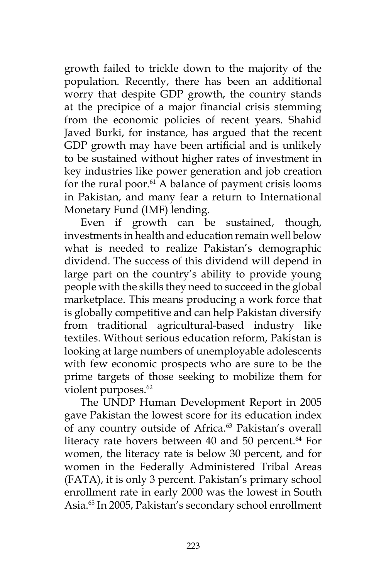growth failed to trickle down to the majority of the population. Recently, there has been an additional worry that despite GDP growth, the country stands at the precipice of a major financial crisis stemming from the economic policies of recent years. Shahid Javed Burki, for instance, has argued that the recent GDP growth may have been artificial and is unlikely to be sustained without higher rates of investment in key industries like power generation and job creation for the rural poor. $61$  A balance of payment crisis looms in Pakistan, and many fear a return to International Monetary Fund (IMF) lending.

Even if growth can be sustained, though, investments in health and education remain well below what is needed to realize Pakistan's demographic dividend. The success of this dividend will depend in large part on the country's ability to provide young people with the skills they need to succeed in the global marketplace. This means producing a work force that is globally competitive and can help Pakistan diversify from traditional agricultural-based industry like textiles. Without serious education reform, Pakistan is looking at large numbers of unemployable adolescents with few economic prospects who are sure to be the prime targets of those seeking to mobilize them for violent purposes.<sup>62</sup>

The UNDP Human Development Report in 2005 gave Pakistan the lowest score for its education index of any country outside of Africa.<sup>63</sup> Pakistan's overall literacy rate hovers between 40 and 50 percent.<sup>64</sup> For women, the literacy rate is below 30 percent, and for women in the Federally Administered Tribal Areas (FATA), it is only 3 percent. Pakistan's primary school enrollment rate in early 2000 was the lowest in South Asia.65 In 2005, Pakistan's secondary school enrollment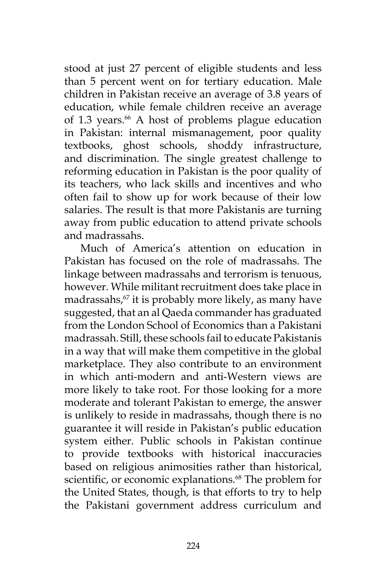stood at just 27 percent of eligible students and less than 5 percent went on for tertiary education. Male children in Pakistan receive an average of 3.8 years of education, while female children receive an average of 1.3 years.<sup>66</sup> A host of problems plague education in Pakistan: internal mismanagement, poor quality textbooks, ghost schools, shoddy infrastructure, and discrimination. The single greatest challenge to reforming education in Pakistan is the poor quality of its teachers, who lack skills and incentives and who often fail to show up for work because of their low salaries. The result is that more Pakistanis are turning away from public education to attend private schools and madrassahs.

Much of America's attention on education in Pakistan has focused on the role of madrassahs. The linkage between madrassahs and terrorism is tenuous, however. While militant recruitment does take place in madrassahs,<sup>67</sup> it is probably more likely, as many have suggested, that an al Qaeda commander has graduated from the London School of Economics than a Pakistani madrassah. Still, these schools fail to educate Pakistanis in a way that will make them competitive in the global marketplace. They also contribute to an environment in which anti-modern and anti-Western views are more likely to take root. For those looking for a more moderate and tolerant Pakistan to emerge, the answer is unlikely to reside in madrassahs, though there is no guarantee it will reside in Pakistan's public education system either. Public schools in Pakistan continue to provide textbooks with historical inaccuracies based on religious animosities rather than historical, scientific, or economic explanations.<sup>68</sup> The problem for the United States, though, is that efforts to try to help the Pakistani government address curriculum and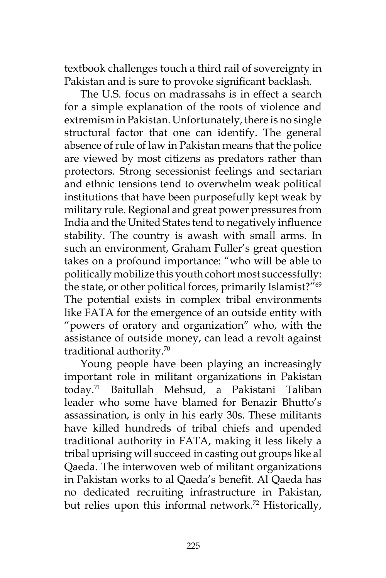textbook challenges touch a third rail of sovereignty in Pakistan and is sure to provoke significant backlash.

The U.S. focus on madrassahs is in effect a search for a simple explanation of the roots of violence and extremism in Pakistan. Unfortunately, there is no single structural factor that one can identify. The general absence of rule of law in Pakistan means that the police are viewed by most citizens as predators rather than protectors. Strong secessionist feelings and sectarian and ethnic tensions tend to overwhelm weak political institutions that have been purposefully kept weak by military rule. Regional and great power pressures from India and the United States tend to negatively influence stability. The country is awash with small arms. In such an environment, Graham Fuller's great question takes on a profound importance: "who will be able to politically mobilize this youth cohort most successfully: the state, or other political forces, primarily Islamist?"<sup>69</sup> The potential exists in complex tribal environments like FATA for the emergence of an outside entity with "powers of oratory and organization" who, with the assistance of outside money, can lead a revolt against traditional authority.70

Young people have been playing an increasingly important role in militant organizations in Pakistan today.71 Baitullah Mehsud, a Pakistani Taliban leader who some have blamed for Benazir Bhutto's assassination, is only in his early 30s. These militants have killed hundreds of tribal chiefs and upended traditional authority in FATA, making it less likely a tribal uprising will succeed in casting out groups like al Qaeda. The interwoven web of militant organizations in Pakistan works to al Qaeda's benefit. Al Qaeda has no dedicated recruiting infrastructure in Pakistan, but relies upon this informal network.<sup>72</sup> Historically,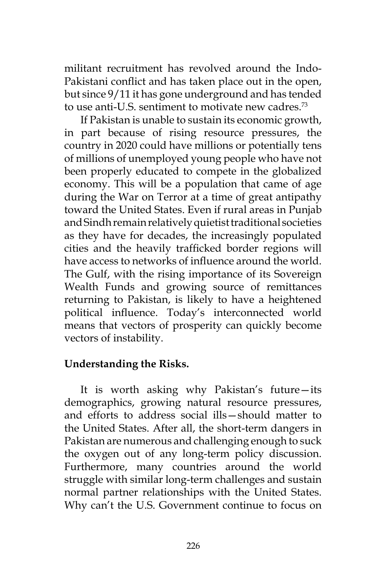militant recruitment has revolved around the Indo-Pakistani conflict and has taken place out in the open, but since 9/11 it has gone underground and has tended to use anti-U.S. sentiment to motivate new cadres.73

If Pakistan is unable to sustain its economic growth, in part because of rising resource pressures, the country in 2020 could have millions or potentially tens of millions of unemployed young people who have not been properly educated to compete in the globalized economy. This will be a population that came of age during the War on Terror at a time of great antipathy toward the United States. Even if rural areas in Punjab and Sindh remain relatively quietist traditional societies as they have for decades, the increasingly populated cities and the heavily trafficked border regions will have access to networks of influence around the world. The Gulf, with the rising importance of its Sovereign Wealth Funds and growing source of remittances returning to Pakistan, is likely to have a heightened political influence. Today's interconnected world means that vectors of prosperity can quickly become vectors of instability.

# **Understanding the Risks.**

It is worth asking why Pakistan's future—its demographics, growing natural resource pressures, and efforts to address social ills—should matter to the United States. After all, the short-term dangers in Pakistan are numerous and challenging enough to suck the oxygen out of any long-term policy discussion. Furthermore, many countries around the world struggle with similar long-term challenges and sustain normal partner relationships with the United States. Why can't the U.S. Government continue to focus on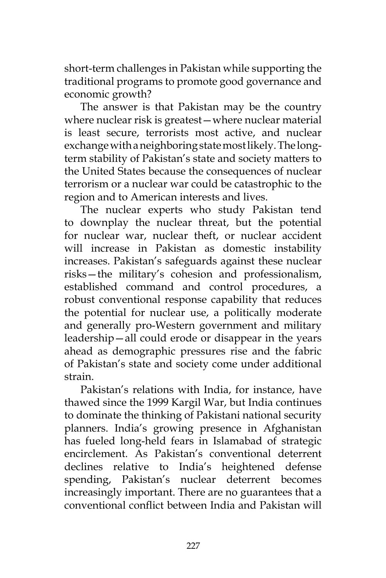short-term challenges in Pakistan while supporting the traditional programs to promote good governance and economic growth?

The answer is that Pakistan may be the country where nuclear risk is greatest—where nuclear material is least secure, terrorists most active, and nuclear exchange with a neighboring state most likely. The longterm stability of Pakistan's state and society matters to the United States because the consequences of nuclear terrorism or a nuclear war could be catastrophic to the region and to American interests and lives.

The nuclear experts who study Pakistan tend to downplay the nuclear threat, but the potential for nuclear war, nuclear theft, or nuclear accident will increase in Pakistan as domestic instability increases. Pakistan's safeguards against these nuclear risks—the military's cohesion and professionalism, established command and control procedures, a robust conventional response capability that reduces the potential for nuclear use, a politically moderate and generally pro-Western government and military leadership—all could erode or disappear in the years ahead as demographic pressures rise and the fabric of Pakistan's state and society come under additional strain.

Pakistan's relations with India, for instance, have thawed since the 1999 Kargil War, but India continues to dominate the thinking of Pakistani national security planners. India's growing presence in Afghanistan has fueled long-held fears in Islamabad of strategic encirclement. As Pakistan's conventional deterrent declines relative to India's heightened defense spending, Pakistan's nuclear deterrent becomes increasingly important. There are no guarantees that a conventional conflict between India and Pakistan will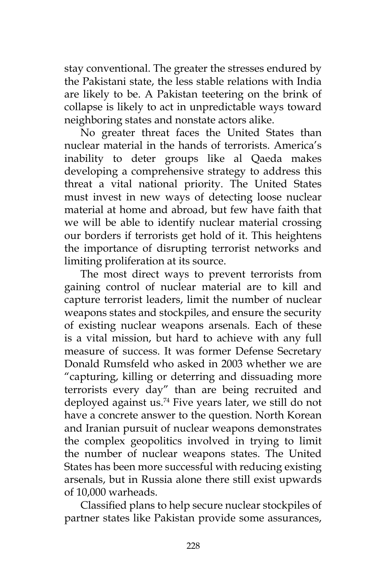stay conventional. The greater the stresses endured by the Pakistani state, the less stable relations with India are likely to be. A Pakistan teetering on the brink of collapse is likely to act in unpredictable ways toward neighboring states and nonstate actors alike.

No greater threat faces the United States than nuclear material in the hands of terrorists. America's inability to deter groups like al Qaeda makes developing a comprehensive strategy to address this threat a vital national priority. The United States must invest in new ways of detecting loose nuclear material at home and abroad, but few have faith that we will be able to identify nuclear material crossing our borders if terrorists get hold of it. This heightens the importance of disrupting terrorist networks and limiting proliferation at its source.

The most direct ways to prevent terrorists from gaining control of nuclear material are to kill and capture terrorist leaders, limit the number of nuclear weapons states and stockpiles, and ensure the security of existing nuclear weapons arsenals. Each of these is a vital mission, but hard to achieve with any full measure of success. It was former Defense Secretary Donald Rumsfeld who asked in 2003 whether we are "capturing, killing or deterring and dissuading more terrorists every day" than are being recruited and deployed against us.74 Five years later, we still do not have a concrete answer to the question. North Korean and Iranian pursuit of nuclear weapons demonstrates the complex geopolitics involved in trying to limit the number of nuclear weapons states. The United States has been more successful with reducing existing arsenals, but in Russia alone there still exist upwards of 10,000 warheads.

Classified plans to help secure nuclear stockpiles of partner states like Pakistan provide some assurances,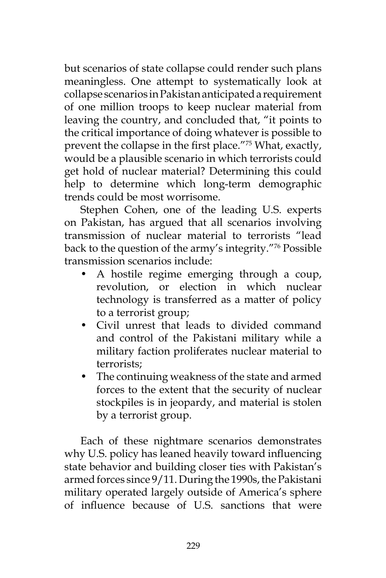but scenarios of state collapse could render such plans meaningless. One attempt to systematically look at collapse scenarios in Pakistan anticipated a requirement of one million troops to keep nuclear material from leaving the country, and concluded that, "it points to the critical importance of doing whatever is possible to prevent the collapse in the first place."75 What, exactly, would be a plausible scenario in which terrorists could get hold of nuclear material? Determining this could help to determine which long-term demographic trends could be most worrisome.

Stephen Cohen, one of the leading U.S. experts on Pakistan, has argued that all scenarios involving transmission of nuclear material to terrorists "lead back to the question of the army's integrity."76 Possible transmission scenarios include:

- A hostile regime emerging through a coup, revolution, or election in which nuclear technology is transferred as a matter of policy to a terrorist group;
- Civil unrest that leads to divided command and control of the Pakistani military while a military faction proliferates nuclear material to terrorists;
- The continuing weakness of the state and armed forces to the extent that the security of nuclear stockpiles is in jeopardy, and material is stolen by a terrorist group.

Each of these nightmare scenarios demonstrates why U.S. policy has leaned heavily toward influencing state behavior and building closer ties with Pakistan's armed forces since 9/11. During the 1990s, the Pakistani military operated largely outside of America's sphere of influence because of U.S. sanctions that were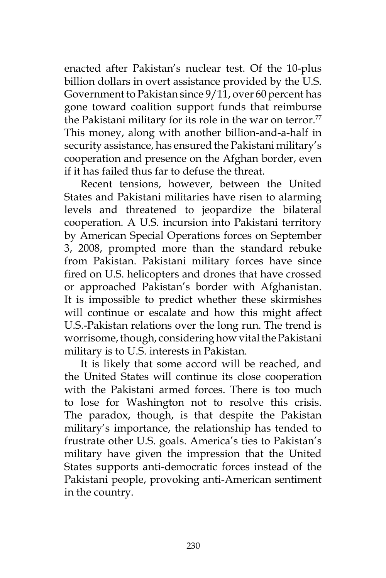enacted after Pakistan's nuclear test. Of the 10-plus billion dollars in overt assistance provided by the U.S. Government to Pakistan since 9/11, over 60 percent has gone toward coalition support funds that reimburse the Pakistani military for its role in the war on terror.<sup>77</sup> This money, along with another billion-and-a-half in security assistance, has ensured the Pakistani military's cooperation and presence on the Afghan border, even if it has failed thus far to defuse the threat.

Recent tensions, however, between the United States and Pakistani militaries have risen to alarming levels and threatened to jeopardize the bilateral cooperation. A U.S. incursion into Pakistani territory by American Special Operations forces on September 3, 2008, prompted more than the standard rebuke from Pakistan. Pakistani military forces have since fired on U.S. helicopters and drones that have crossed or approached Pakistan's border with Afghanistan. It is impossible to predict whether these skirmishes will continue or escalate and how this might affect U.S.-Pakistan relations over the long run. The trend is worrisome, though, considering how vital the Pakistani military is to U.S. interests in Pakistan.

It is likely that some accord will be reached, and the United States will continue its close cooperation with the Pakistani armed forces. There is too much to lose for Washington not to resolve this crisis. The paradox, though, is that despite the Pakistan military's importance, the relationship has tended to frustrate other U.S. goals. America's ties to Pakistan's military have given the impression that the United States supports anti-democratic forces instead of the Pakistani people, provoking anti-American sentiment in the country.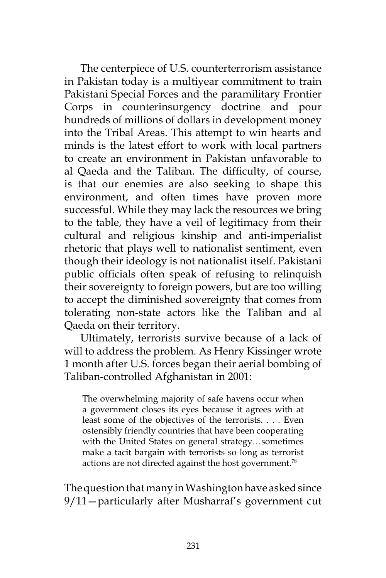The centerpiece of U.S. counterterrorism assistance in Pakistan today is a multiyear commitment to train Pakistani Special Forces and the paramilitary Frontier Corps in counterinsurgency doctrine and pour hundreds of millions of dollars in development money into the Tribal Areas. This attempt to win hearts and minds is the latest effort to work with local partners to create an environment in Pakistan unfavorable to al Qaeda and the Taliban. The difficulty, of course, is that our enemies are also seeking to shape this environment, and often times have proven more successful. While they may lack the resources we bring to the table, they have a veil of legitimacy from their cultural and religious kinship and anti-imperialist rhetoric that plays well to nationalist sentiment, even though their ideology is not nationalist itself. Pakistani public officials often speak of refusing to relinquish their sovereignty to foreign powers, but are too willing to accept the diminished sovereignty that comes from tolerating non-state actors like the Taliban and al Qaeda on their territory.

Ultimately, terrorists survive because of a lack of will to address the problem. As Henry Kissinger wrote 1 month after U.S. forces began their aerial bombing of Taliban-controlled Afghanistan in 2001:

The overwhelming majority of safe havens occur when a government closes its eyes because it agrees with at least some of the objectives of the terrorists. . . . Even ostensibly friendly countries that have been cooperating with the United States on general strategy…sometimes make a tacit bargain with terrorists so long as terrorist actions are not directed against the host government.<sup>78</sup>

The question that many in Washington have asked since 9/11—particularly after Musharraf's government cut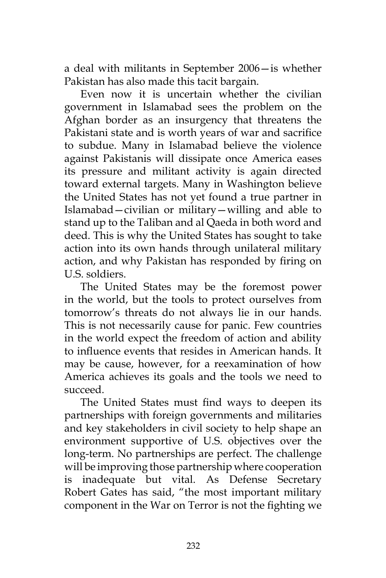a deal with militants in September 2006—is whether Pakistan has also made this tacit bargain.

Even now it is uncertain whether the civilian government in Islamabad sees the problem on the Afghan border as an insurgency that threatens the Pakistani state and is worth years of war and sacrifice to subdue. Many in Islamabad believe the violence against Pakistanis will dissipate once America eases its pressure and militant activity is again directed toward external targets. Many in Washington believe the United States has not yet found a true partner in Islamabad—civilian or military—willing and able to stand up to the Taliban and al Qaeda in both word and deed. This is why the United States has sought to take action into its own hands through unilateral military action, and why Pakistan has responded by firing on U.S. soldiers.

The United States may be the foremost power in the world, but the tools to protect ourselves from tomorrow's threats do not always lie in our hands. This is not necessarily cause for panic. Few countries in the world expect the freedom of action and ability to influence events that resides in American hands. It may be cause, however, for a reexamination of how America achieves its goals and the tools we need to succeed.

The United States must find ways to deepen its partnerships with foreign governments and militaries and key stakeholders in civil society to help shape an environment supportive of U.S. objectives over the long-term. No partnerships are perfect. The challenge will be improving those partnership where cooperation is inadequate but vital. As Defense Secretary Robert Gates has said, "the most important military component in the War on Terror is not the fighting we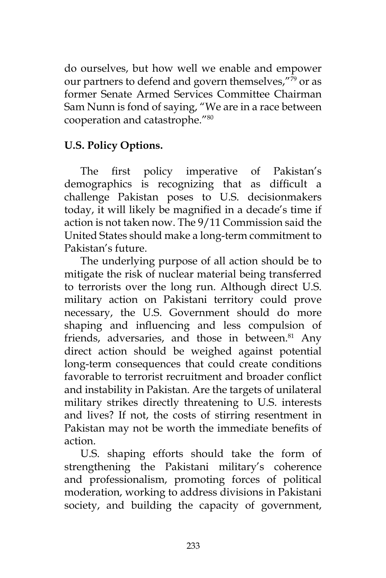do ourselves, but how well we enable and empower our partners to defend and govern themselves,"79 or as former Senate Armed Services Committee Chairman Sam Nunn is fond of saying, "We are in a race between cooperation and catastrophe."80

# **U.S. Policy Options.**

The first policy imperative of Pakistan's demographics is recognizing that as difficult a challenge Pakistan poses to U.S. decisionmakers today, it will likely be magnified in a decade's time if action is not taken now. The 9/11 Commission said the United States should make a long-term commitment to Pakistan's future.

The underlying purpose of all action should be to mitigate the risk of nuclear material being transferred to terrorists over the long run. Although direct U.S. military action on Pakistani territory could prove necessary, the U.S. Government should do more shaping and influencing and less compulsion of friends, adversaries, and those in between.<sup>81</sup> Any direct action should be weighed against potential long-term consequences that could create conditions favorable to terrorist recruitment and broader conflict and instability in Pakistan. Are the targets of unilateral military strikes directly threatening to U.S. interests and lives? If not, the costs of stirring resentment in Pakistan may not be worth the immediate benefits of action.

U.S. shaping efforts should take the form of strengthening the Pakistani military's coherence and professionalism, promoting forces of political moderation, working to address divisions in Pakistani society, and building the capacity of government,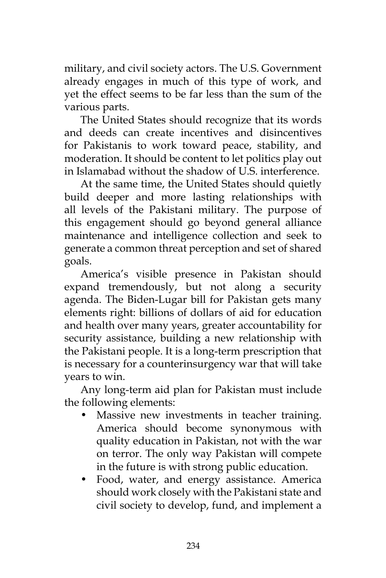military, and civil society actors. The U.S. Government already engages in much of this type of work, and yet the effect seems to be far less than the sum of the various parts.

The United States should recognize that its words and deeds can create incentives and disincentives for Pakistanis to work toward peace, stability, and moderation. It should be content to let politics play out in Islamabad without the shadow of U.S. interference.

At the same time, the United States should quietly build deeper and more lasting relationships with all levels of the Pakistani military. The purpose of this engagement should go beyond general alliance maintenance and intelligence collection and seek to generate a common threat perception and set of shared goals.

America's visible presence in Pakistan should expand tremendously, but not along a security agenda. The Biden-Lugar bill for Pakistan gets many elements right: billions of dollars of aid for education and health over many years, greater accountability for security assistance, building a new relationship with the Pakistani people. It is a long-term prescription that is necessary for a counterinsurgency war that will take years to win.

Any long-term aid plan for Pakistan must include the following elements:

- Massive new investments in teacher training. America should become synonymous with quality education in Pakistan, not with the war on terror. The only way Pakistan will compete in the future is with strong public education.
- Food, water, and energy assistance. America should work closely with the Pakistani state and civil society to develop, fund, and implement a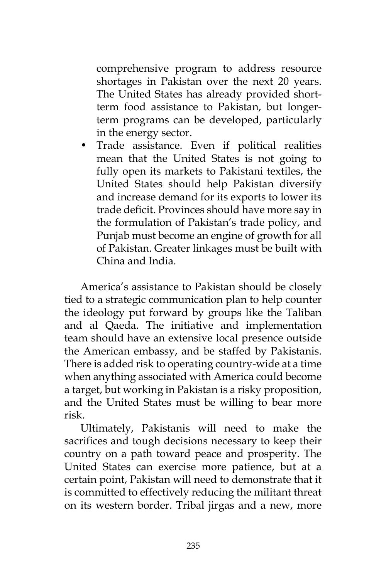comprehensive program to address resource shortages in Pakistan over the next 20 years. The United States has already provided shortterm food assistance to Pakistan, but longerterm programs can be developed, particularly in the energy sector.

• Trade assistance. Even if political realities mean that the United States is not going to fully open its markets to Pakistani textiles, the United States should help Pakistan diversify and increase demand for its exports to lower its trade deficit. Provinces should have more say in the formulation of Pakistan's trade policy, and Punjab must become an engine of growth for all of Pakistan. Greater linkages must be built with China and India.

America's assistance to Pakistan should be closely tied to a strategic communication plan to help counter the ideology put forward by groups like the Taliban and al Qaeda. The initiative and implementation team should have an extensive local presence outside the American embassy, and be staffed by Pakistanis. There is added risk to operating country-wide at a time when anything associated with America could become a target, but working in Pakistan is a risky proposition, and the United States must be willing to bear more risk.

Ultimately, Pakistanis will need to make the sacrifices and tough decisions necessary to keep their country on a path toward peace and prosperity. The United States can exercise more patience, but at a certain point, Pakistan will need to demonstrate that it is committed to effectively reducing the militant threat on its western border. Tribal jirgas and a new, more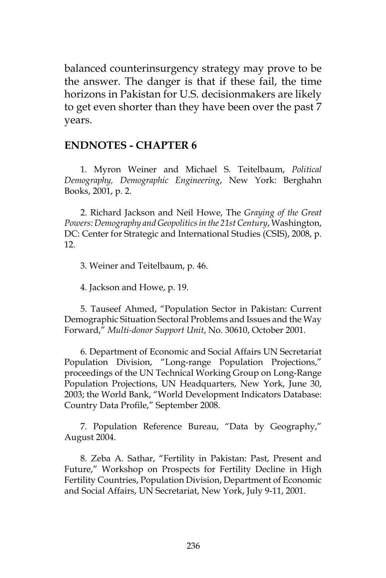balanced counterinsurgency strategy may prove to be the answer. The danger is that if these fail, the time horizons in Pakistan for U.S. decisionmakers are likely to get even shorter than they have been over the past 7 years.

#### **ENDNOTES - CHAPTER 6**

1. Myron Weiner and Michael S. Teitelbaum, *Political Demography, Demographic Engineering*, New York: Berghahn Books, 2001, p. 2.

2. Richard Jackson and Neil Howe, The *Graying of the Great Powers: Demography and Geopolitics in the 21st Century*, Washington, DC: Center for Strategic and International Studies (CSIS), 2008, p. 12.

3. Weiner and Teitelbaum, p. 46.

4. Jackson and Howe, p. 19.

5. Tauseef Ahmed, "Population Sector in Pakistan: Current Demographic Situation Sectoral Problems and Issues and the Way Forward," *Multi-donor Support Unit*, No. 30610, October 2001.

6. Department of Economic and Social Affairs UN Secretariat Population Division, "Long-range Population Projections," proceedings of the UN Technical Working Group on Long-Range Population Projections, UN Headquarters, New York, June 30, 2003; the World Bank, "World Development Indicators Database: Country Data Profile," September 2008.

7. Population Reference Bureau, "Data by Geography," August 2004.

8. Zeba A. Sathar, "Fertility in Pakistan: Past, Present and Future," Workshop on Prospects for Fertility Decline in High Fertility Countries, Population Division, Department of Economic and Social Affairs, UN Secretariat, New York, July 9-11, 2001.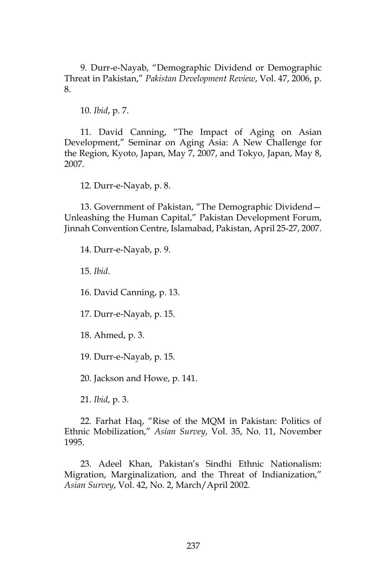9. Durr-e-Nayab, "Demographic Dividend or Demographic Threat in Pakistan," *Pakistan Development Review*, Vol. 47, 2006, p. 8.

10. *Ibid*, p. 7.

11. David Canning, "The Impact of Aging on Asian Development," Seminar on Aging Asia: A New Challenge for the Region, Kyoto, Japan, May 7, 2007, and Tokyo, Japan, May 8, 2007.

12. Durr-e-Nayab, p. 8.

13. Government of Pakistan, "The Demographic Dividend— Unleashing the Human Capital," Pakistan Development Forum, Jinnah Convention Centre, Islamabad, Pakistan, April 25-27, 2007.

14. Durr-e-Nayab, p. 9.

15. *Ibid*.

16. David Canning, p. 13.

17. Durr-e-Nayab, p. 15.

18. Ahmed, p. 3.

19. Durr-e-Nayab, p. 15.

20. Jackson and Howe, p. 141.

21. *Ibid*, p. 3.

22. Farhat Haq, "Rise of the MQM in Pakistan: Politics of Ethnic Mobilization," *Asian Survey*, Vol. 35, No. 11, November 1995.

23. Adeel Khan, Pakistan's Sindhi Ethnic Nationalism: Migration, Marginalization, and the Threat of Indianization," *Asian Survey*, Vol. 42, No. 2, March/April 2002.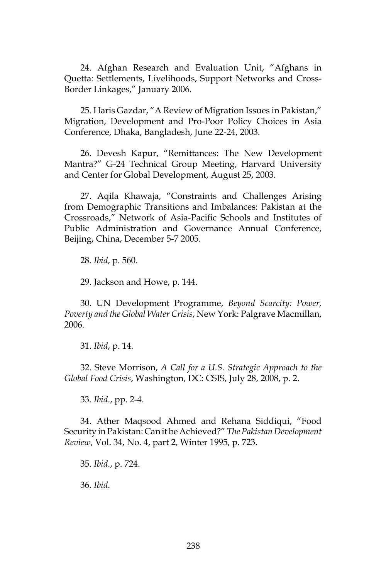24. Afghan Research and Evaluation Unit, "Afghans in Quetta: Settlements, Livelihoods, Support Networks and Cross-Border Linkages," January 2006.

25. Haris Gazdar, "A Review of Migration Issues in Pakistan," Migration, Development and Pro-Poor Policy Choices in Asia Conference, Dhaka, Bangladesh, June 22-24, 2003.

26. Devesh Kapur, "Remittances: The New Development Mantra?" G-24 Technical Group Meeting, Harvard University and Center for Global Development, August 25, 2003.

27. Aqila Khawaja, "Constraints and Challenges Arising from Demographic Transitions and Imbalances: Pakistan at the Crossroads," Network of Asia-Pacific Schools and Institutes of Public Administration and Governance Annual Conference, Beijing, China, December 5-7 2005.

28. *Ibid*, p. 560.

29. Jackson and Howe, p. 144.

30. UN Development Programme, *Beyond Scarcity: Power, Poverty and the Global Water Crisis*, New York: Palgrave Macmillan, 2006.

31. *Ibid*, p. 14.

32. Steve Morrison, *A Call for a U.S. Strategic Approach to the Global Food Crisis*, Washington, DC: CSIS, July 28, 2008, p. 2.

33. *Ibid*., pp. 2-4.

34. Ather Maqsood Ahmed and Rehana Siddiqui, "Food Security in Pakistan: Can it be Achieved?" *The Pakistan Development Review*, Vol. 34, No. 4, part 2, Winter 1995, p. 723.

35. *Ibid*., p. 724.

36. *Ibid*.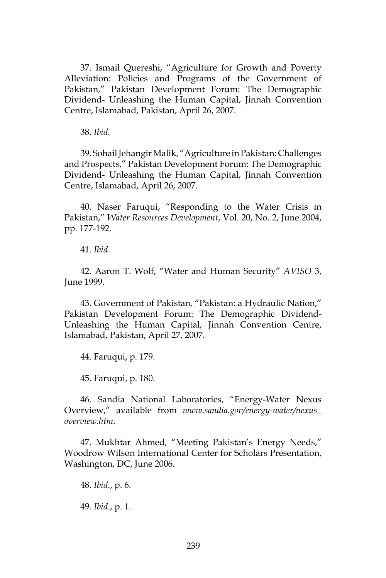37. Ismail Quereshi, "Agriculture for Growth and Poverty Alleviation: Policies and Programs of the Government of Pakistan," Pakistan Development Forum: The Demographic Dividend- Unleashing the Human Capital, Jinnah Convention Centre, Islamabad, Pakistan, April 26, 2007.

38. *Ibid*.

39. Sohail Jehangir Malik, "Agriculture in Pakistan: Challenges and Prospects," Pakistan Development Forum: The Demographic Dividend- Unleashing the Human Capital, Jinnah Convention Centre, Islamabad, April 26, 2007.

40. Naser Faruqui, "Responding to the Water Crisis in Pakistan," *Water Resources Development*, Vol. 20, No. 2, June 2004, pp. 177-192.

41. *Ibid*.

42. Aaron T. Wolf, "Water and Human Security" *AVISO* 3, June 1999.

43. Government of Pakistan, "Pakistan: a Hydraulic Nation," Pakistan Development Forum: The Demographic Dividend-Unleashing the Human Capital, Jinnah Convention Centre, Islamabad, Pakistan, April 27, 2007.

44. Faruqui, p. 179.

45. Faruqui, p. 180.

46. Sandia National Laboratories, "Energy-Water Nexus Overview," available from *www.sandia.gov/energy-water/nexus\_ overview.htm*.

47. Mukhtar Ahmed, "Meeting Pakistan's Energy Needs," Woodrow Wilson International Center for Scholars Presentation, Washington, DC, June 2006.

48. *Ibid*., p. 6.

49. *Ibid*., p. 1.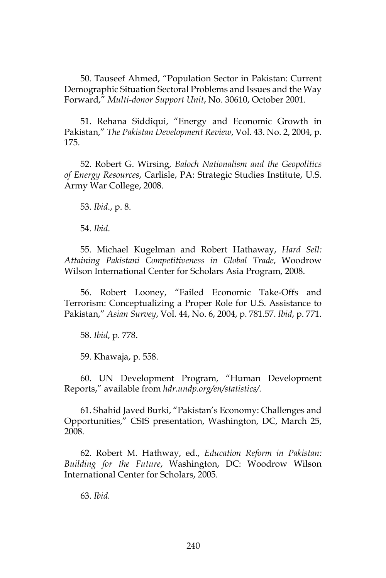50. Tauseef Ahmed, "Population Sector in Pakistan: Current Demographic Situation Sectoral Problems and Issues and the Way Forward," *Multi-donor Support Unit*, No. 30610, October 2001.

51. Rehana Siddiqui, "Energy and Economic Growth in Pakistan," *The Pakistan Development Review*, Vol. 43. No. 2, 2004, p. 175.

52. Robert G. Wirsing, *Baloch Nationalism and the Geopolitics of Energy Resources*, Carlisle, PA: Strategic Studies Institute, U.S. Army War College, 2008.

53. *Ibid*., p. 8.

54. *Ibid*.

55. Michael Kugelman and Robert Hathaway, *Hard Sell: Attaining Pakistani Competitiveness in Global Trade*, Woodrow Wilson International Center for Scholars Asia Program, 2008.

56. Robert Looney, "Failed Economic Take-Offs and Terrorism: Conceptualizing a Proper Role for U.S. Assistance to Pakistan," *Asian Survey*, Vol. 44, No. 6, 2004, p. 781.57. *Ibid*, p. 771.

58. *Ibid*, p. 778.

59. Khawaja, p. 558.

60. UN Development Program, "Human Development Reports," available from *hdr.undp.org/en/statistics/*.

61. Shahid Javed Burki, "Pakistan's Economy: Challenges and Opportunities," CSIS presentation, Washington, DC, March 25, 2008.

62. Robert M. Hathway, ed., *Education Reform in Pakistan: Building for the Future*, Washington, DC: Woodrow Wilson International Center for Scholars, 2005.

63. *Ibid.*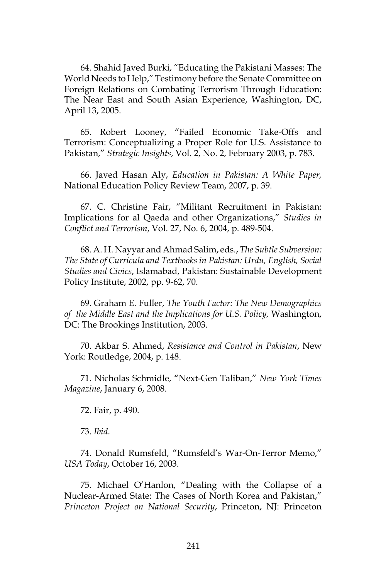64. Shahid Javed Burki, "Educating the Pakistani Masses: The World Needs to Help," Testimony before the Senate Committee on Foreign Relations on Combating Terrorism Through Education: The Near East and South Asian Experience, Washington, DC, April 13, 2005.

65. Robert Looney, "Failed Economic Take-Offs and Terrorism: Conceptualizing a Proper Role for U.S. Assistance to Pakistan," *Strategic Insights*, Vol. 2, No. 2, February 2003, p. 783.

66. Javed Hasan Aly, *Education in Pakistan: A White Paper,*  National Education Policy Review Team, 2007, p. 39.

67. C. Christine Fair, "Militant Recruitment in Pakistan: Implications for al Qaeda and other Organizations," *Studies in Conflict and Terrorism*, Vol. 27, No. 6, 2004, p. 489-504.

68. A. H. Nayyar and Ahmad Salim, eds., *The Subtle Subversion: The State of Curricula and Textbooks in Pakistan: Urdu, English, Social Studies and Civics*, Islamabad, Pakistan: Sustainable Development Policy Institute, 2002, pp. 9-62, 70.

69. Graham E. Fuller, *The Youth Factor: The New Demographics of the Middle East and the Implications for U.S. Policy,* Washington, DC: The Brookings Institution, 2003.

70. Akbar S. Ahmed, *Resistance and Control in Pakistan*, New York: Routledge, 2004, p. 148.

71. Nicholas Schmidle, "Next-Gen Taliban," *New York Times Magazine*, January 6, 2008.

72. Fair, p. 490.

73. *Ibid*.

74. Donald Rumsfeld, "Rumsfeld's War-On-Terror Memo," *USA Today*, October 16, 2003.

75. Michael O'Hanlon, "Dealing with the Collapse of a Nuclear-Armed State: The Cases of North Korea and Pakistan," *Princeton Project on National Security*, Princeton, NJ: Princeton